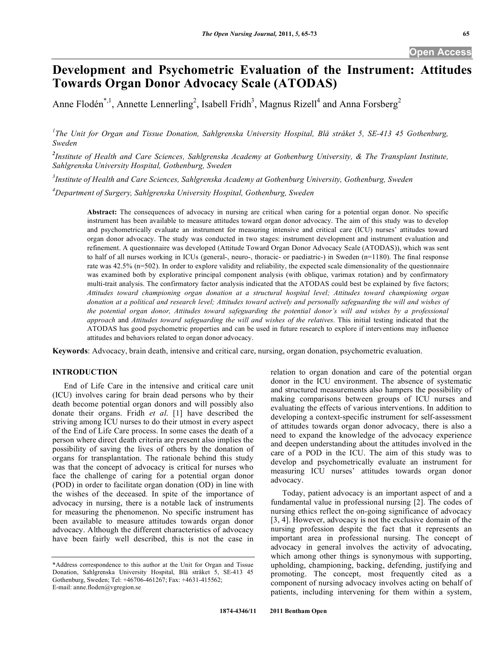# **Development and Psychometric Evaluation of the Instrument: Attitudes Towards Organ Donor Advocacy Scale (ATODAS)**

Anne Flodén<sup>\*, 1</sup>, Annette Lennerling<sup>2</sup>, Isabell Fridh<sup>3</sup>, Magnus Rizell<sup>4</sup> and Anna Forsberg<sup>2</sup>

<sup>1</sup>The Unit for Organ and Tissue Donation, Sahlgrenska University Hospital, Blå stråket 5, SE-413 45 Gothenburg, *Sweden* 

*2 Institute of Health and Care Sciences, Sahlgrenska Academy at Gothenburg University, & The Transplant Institute, Sahlgrenska University Hospital, Gothenburg, Sweden* 

*3 Institute of Health and Care Sciences, Sahlgrenska Academy at Gothenburg University, Gothenburg, Sweden* 

*4 Department of Surgery, Sahlgrenska University Hospital, Gothenburg, Sweden* 

**Abstract:** The consequences of advocacy in nursing are critical when caring for a potential organ donor. No specific instrument has been available to measure attitudes toward organ donor advocacy. The aim of this study was to develop and psychometrically evaluate an instrument for measuring intensive and critical care (ICU) nurses' attitudes toward organ donor advocacy. The study was conducted in two stages: instrument development and instrument evaluation and refinement. A questionnaire was developed (Attitude Toward Organ Donor Advocacy Scale (ATODAS)), which was sent to half of all nurses working in ICUs (general-, neuro-, thoracic- or paediatric-) in Sweden (n=1180). The final response rate was 42.5% (n=502). In order to explore validity and reliability, the expected scale dimensionality of the questionnaire was examined both by explorative principal component analysis (with oblique, varimax rotation) and by confirmatory multi-trait analysis. The confirmatory factor analysis indicated that the ATODAS could best be explained by five factors; *Attitudes toward championing organ donation at a structural hospital level; Attitudes toward championing organ donation at a political and research level; Attitudes toward actively and personally safeguarding the will and wishes of the potential organ donor, Attitudes toward safeguarding the potential donor's will and wishes by a professional approach* and *Attitudes toward safeguarding the will and wishes of the relatives*. This initial testing indicated that the ATODAS has good psychometric properties and can be used in future research to explore if interventions may influence attitudes and behaviors related to organ donor advocacy.

**Keywords**: Advocacy, brain death, intensive and critical care, nursing, organ donation, psychometric evaluation.

#### **INTRODUCTION**

 End of Life Care in the intensive and critical care unit (ICU) involves caring for brain dead persons who by their death become potential organ donors and will possibly also donate their organs. Fridh *et al*. [1] have described the striving among ICU nurses to do their utmost in every aspect of the End of Life Care process. In some cases the death of a person where direct death criteria are present also implies the possibility of saving the lives of others by the donation of organs for transplantation. The rationale behind this study was that the concept of advocacy is critical for nurses who face the challenge of caring for a potential organ donor (POD) in order to facilitate organ donation (OD) in line with the wishes of the deceased. In spite of the importance of advocacy in nursing, there is a notable lack of instruments for measuring the phenomenon. No specific instrument has been available to measure attitudes towards organ donor advocacy. Although the different characteristics of advocacy have been fairly well described, this is not the case in

relation to organ donation and care of the potential organ donor in the ICU environment. The absence of systematic and structured measurements also hampers the possibility of making comparisons between groups of ICU nurses and evaluating the effects of various interventions. In addition to developing a context-specific instrument for self-assessment of attitudes towards organ donor advocacy, there is also a need to expand the knowledge of the advocacy experience and deepen understanding about the attitudes involved in the care of a POD in the ICU. The aim of this study was to develop and psychometrically evaluate an instrument for measuring ICU nurses' attitudes towards organ donor advocacy.

 Today, patient advocacy is an important aspect of and a fundamental value in professional nursing [2]. The codes of nursing ethics reflect the on-going significance of advocacy [3, 4]. However, advocacy is not the exclusive domain of the nursing profession despite the fact that it represents an important area in professional nursing. The concept of advocacy in general involves the activity of advocating, which among other things is synonymous with supporting, upholding, championing, backing, defending, justifying and promoting. The concept, most frequently cited as a component of nursing advocacy involves acting on behalf of patients, including intervening for them within a system,

<sup>\*</sup>Address correspondence to this author at the Unit for Organ and Tissue Donation, Sahlgrenska University Hospital, Blå stråket 5, SE-413 45 Gothenburg, Sweden; Tel: +46706-461267; Fax: +4631-415562; E-mail: anne.floden@vgregion.se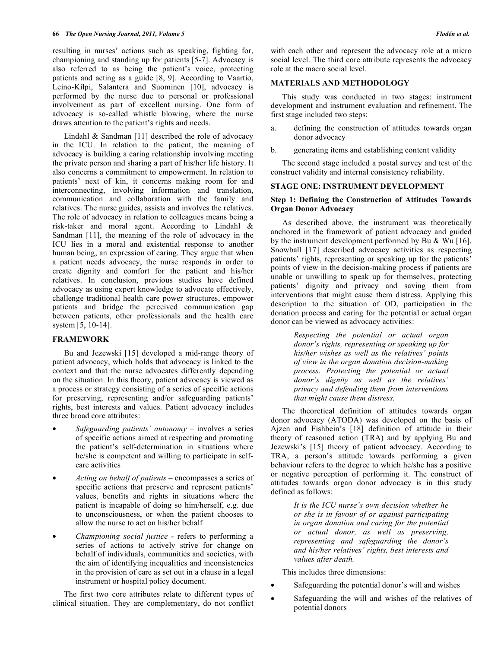resulting in nurses' actions such as speaking, fighting for, championing and standing up for patients [5-7]. Advocacy is also referred to as being the patient's voice, protecting patients and acting as a guide [8, 9]. According to Vaartio, Leino-Kilpi, Salantera and Suominen [10], advocacy is performed by the nurse due to personal or professional involvement as part of excellent nursing. One form of advocacy is so*-*called whistle blowing, where the nurse draws attention to the patient's rights and needs.

 Lindahl & Sandman [11] described the role of advocacy in the ICU. In relation to the patient, the meaning of advocacy is building a caring relationship involving meeting the private person and sharing a part of his/her life history. It also concerns a commitment to empowerment. In relation to patients' next of kin, it concerns making room for and interconnecting, involving information and translation, communication and collaboration with the family and relatives. The nurse guides, assists and involves the relatives. The role of advocacy in relation to colleagues means being a risk-taker and moral agent. According to Lindahl & Sandman [11], the meaning of the role of advocacy in the ICU lies in a moral and existential response to another human being, an expression of caring. They argue that when a patient needs advocacy, the nurse responds in order to create dignity and comfort for the patient and his/her relatives. In conclusion, previous studies have defined advocacy as using expert knowledge to advocate effectively, challenge traditional health care power structures, empower patients and bridge the perceived communication gap between patients, other professionals and the health care system [5, 10-14].

#### **FRAMEWORK**

 Bu and Jezewski [15] developed a mid-range theory of patient advocacy, which holds that advocacy is linked to the context and that the nurse advocates differently depending on the situation. In this theory, patient advocacy is viewed as a process or strategy consisting of a series of specific actions for preserving, representing and/or safeguarding patients' rights, best interests and values. Patient advocacy includes three broad core attributes:

- *Safeguarding patients' autonomy* involves a series of specific actions aimed at respecting and promoting the patient's self-determination in situations where he/she is competent and willing to participate in selfcare activities
- *Acting on behalf of patients* encompasses a series of specific actions that preserve and represent patients' values, benefits and rights in situations where the patient is incapable of doing so him/herself, e.g. due to unconsciousness, or when the patient chooses to allow the nurse to act on his/her behalf
- *Championing social justice*  refers to performing a series of actions to actively strive for change on behalf of individuals, communities and societies, with the aim of identifying inequalities and inconsistencies in the provision of care as set out in a clause in a legal instrument or hospital policy document.

 The first two core attributes relate to different types of clinical situation. They are complementary, do not conflict

#### **MATERIALS AND METHODOLOGY**

 This study was conducted in two stages: instrument development and instrument evaluation and refinement. The first stage included two steps:

- a. defining the construction of attitudes towards organ donor advocacy
- b. generating items and establishing content validity

 The second stage included a postal survey and test of the construct validity and internal consistency reliability.

## **STAGE ONE: INSTRUMENT DEVELOPMENT**

#### **Step 1: Defining the Construction of Attitudes Towards Organ Donor Advocacy**

 As described above, the instrument was theoretically anchored in the framework of patient advocacy and guided by the instrument development performed by Bu & Wu [16]. Snowball [17] described advocacy activities as respecting patients' rights, representing or speaking up for the patients' points of view in the decision-making process if patients are unable or unwilling to speak up for themselves, protecting patients' dignity and privacy and saving them from interventions that might cause them distress. Applying this description to the situation of OD, participation in the donation process and caring for the potential or actual organ donor can be viewed as advocacy activities:

> *Respecting the potential or actual organ donor's rights, representing or speaking up for his/her wishes as well as the relatives' points of view in the organ donation decision-making process. Protecting the potential or actual donor's dignity as well as the relatives' privacy and defending them from interventions that might cause them distress.*

 The theoretical definition of attitudes towards organ donor advocacy (ATODA) was developed on the basis of Ajzen and Fishbein's [18] definition of attitude in their theory of reasoned action (TRA) and by applying Bu and Jezewski's [15] theory of patient advocacy. According to TRA, a person's attitude towards performing a given behaviour refers to the degree to which he/she has a positive or negative perception of performing it. The construct of attitudes towards organ donor advocacy is in this study defined as follows:

> *It is the ICU nurse's own decision whether he or she is in favour of or against participating in organ donation and caring for the potential or actual donor, as well as preserving, representing and safeguarding the donor's and his/her relatives' rights, best interests and values after death.*

This includes three dimensions:

- Safeguarding the potential donor's will and wishes
- Safeguarding the will and wishes of the relatives of potential donors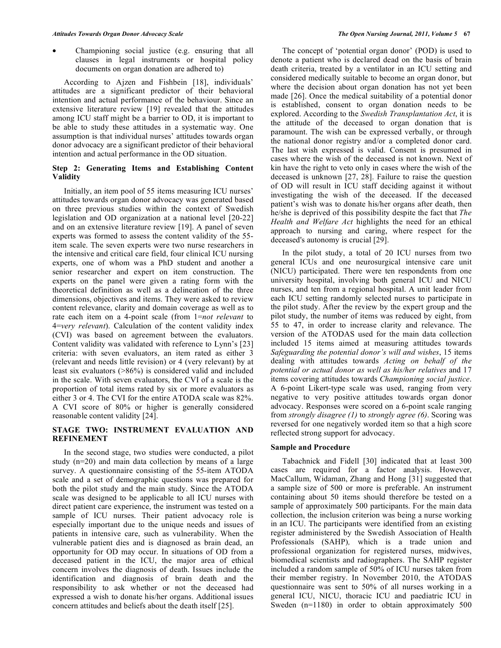• Championing social justice (e.g. ensuring that all clauses in legal instruments or hospital policy documents on organ donation are adhered to)

 According to Ajzen and Fishbein [18], individuals' attitudes are a significant predictor of their behavioral intention and actual performance of the behaviour. Since an extensive literature review [19] revealed that the attitudes among ICU staff might be a barrier to OD, it is important to be able to study these attitudes in a systematic way. One assumption is that individual nurses' attitudes towards organ donor advocacy are a significant predictor of their behavioral intention and actual performance in the OD situation.

#### **Step 2: Generating Items and Establishing Content Validity**

 Initially, an item pool of 55 items measuring ICU nurses' attitudes towards organ donor advocacy was generated based on three previous studies within the context of Swedish legislation and OD organization at a national level [20-22] and on an extensive literature review [19]. A panel of seven experts was formed to assess the content validity of the 55 item scale. The seven experts were two nurse researchers in the intensive and critical care field, four clinical ICU nursing experts, one of whom was a PhD student and another a senior researcher and expert on item construction. The experts on the panel were given a rating form with the theoretical definition as well as a delineation of the three dimensions, objectives and items. They were asked to review content relevance, clarity and domain coverage as well as to rate each item on a 4-point scale (from 1=*not relevant* to 4=*very relevant*). Calculation of the content validity index (CVI) was based on agreement between the evaluators. Content validity was validated with reference to Lynn's [23] criteria: with seven evaluators, an item rated as either 3 (relevant and needs little revision) or 4 (very relevant) by at least six evaluators (>86%) is considered valid and included in the scale. With seven evaluators, the CVI of a scale is the proportion of total items rated by six or more evaluators as either 3 or 4. The CVI for the entire ATODA scale was 82%. A CVI score of 80% or higher is generally considered reasonable content validity [24].

### **STAGE TWO: INSTRUMENT EVALUATION AND REFINEMENT**

 In the second stage, two studies were conducted, a pilot study (n=20) and main data collection by means of a large survey. A questionnaire consisting of the 55-item ATODA scale and a set of demographic questions was prepared for both the pilot study and the main study. Since the ATODA scale was designed to be applicable to all ICU nurses with direct patient care experience, the instrument was tested on a sample of ICU nurses. Their patient advocacy role is especially important due to the unique needs and issues of patients in intensive care, such as vulnerability. When the vulnerable patient dies and is diagnosed as brain dead, an opportunity for OD may occur. In situations of OD from a deceased patient in the ICU, the major area of ethical concern involves the diagnosis of death. Issues include the identification and diagnosis of brain death and the responsibility to ask whether or not the deceased had expressed a wish to donate his/her organs. Additional issues concern attitudes and beliefs about the death itself [25].

 The concept of 'potential organ donor' (POD) is used to denote a patient who is declared dead on the basis of brain death criteria, treated by a ventilator in an ICU setting and considered medically suitable to become an organ donor, but where the decision about organ donation has not yet been made [26]. Once the medical suitability of a potential donor is established, consent to organ donation needs to be explored. According to the *Swedish Transplantation Act*, it is the attitude of the deceased to organ donation that is paramount. The wish can be expressed verbally, or through the national donor registry and/or a completed donor card. The last wish expressed is valid. Consent is presumed in cases where the wish of the deceased is not known. Next of kin have the right to veto only in cases where the wish of the deceased is unknown [27, 28]. Failure to raise the question of OD will result in ICU staff deciding against it without investigating the wish of the deceased. If the deceased patient's wish was to donate his/her organs after death, then he/she is deprived of this possibility despite the fact that *The Health and Welfare Act* highlights the need for an ethical approach to nursing and caring, where respect for the deceased's autonomy is crucial [29].

 In the pilot study, a total of 20 ICU nurses from two general ICUs and one neurosurgical intensive care unit (NICU) participated. There were ten respondents from one university hospital, involving both general ICU and NICU nurses, and ten from a regional hospital. A unit leader from each ICU setting randomly selected nurses to participate in the pilot study. After the review by the expert group and the pilot study, the number of items was reduced by eight, from 55 to 47, in order to increase clarity and relevance. The version of the ATODAS used for the main data collection included 15 items aimed at measuring attitudes towards *Safeguarding the potential donor's will and wishes*, 15 items dealing with attitudes towards *Acting on behalf of the potential or actual donor as well as his/her relatives* and 17 items covering attitudes towards *Championing social justice*. A 6-point Likert-type scale was used, ranging from very negative to very positive attitudes towards organ donor advocacy. Responses were scored on a 6-point scale ranging from *strongly disagree (1)* to *strongly agree (6)*. Scoring was reversed for one negatively worded item so that a high score reflected strong support for advocacy.

#### **Sample and Procedure**

 Tabachnick and Fidell [30] indicated that at least 300 cases are required for a factor analysis. However, MacCallum, Widaman, Zhang and Hong [31] suggested that a sample size of 500 or more is preferable. An instrument containing about 50 items should therefore be tested on a sample of approximately 500 participants. For the main data collection, the inclusion criterion was being a nurse working in an ICU. The participants were identified from an existing register administered by the Swedish Association of Health Professionals (SAHP)*,* which is a trade union and professional organization for registered nurses, midwives, biomedical scientists and radiographers. The SAHP register included a random sample of 50% of ICU nurses taken from their member registry. In November 2010, the ATODAS questionnaire was sent to 50% of all nurses working in a general ICU, NICU, thoracic ICU and paediatric ICU in Sweden (n=1180) in order to obtain approximately 500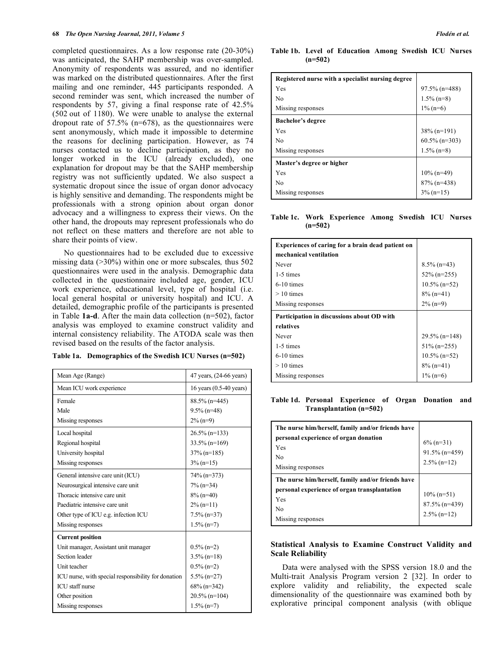completed questionnaires. As a low response rate (20-30%) was anticipated, the SAHP membership was over-sampled. Anonymity of respondents was assured, and no identifier was marked on the distributed questionnaires. After the first mailing and one reminder, 445 participants responded. A second reminder was sent, which increased the number of respondents by 57, giving a final response rate of 42.5% (502 out of 1180). We were unable to analyse the external dropout rate of 57.5% (n=678), as the questionnaires were sent anonymously, which made it impossible to determine the reasons for declining participation. However, as 74 nurses contacted us to decline participation, as they no longer worked in the ICU (already excluded), one explanation for dropout may be that the SAHP membership registry was not sufficiently updated. We also suspect a systematic dropout since the issue of organ donor advocacy is highly sensitive and demanding. The respondents might be professionals with a strong opinion about organ donor advocacy and a willingness to express their views. On the other hand, the dropouts may represent professionals who do not reflect on these matters and therefore are not able to share their points of view.

 No questionnaires had to be excluded due to excessive missing data (>30%) within one or more subscales*,* thus 502 questionnaires were used in the analysis. Demographic data collected in the questionnaire included age, gender, ICU work experience, educational level, type of hospital (i.e. local general hospital or university hospital) and ICU. A detailed, demographic profile of the participants is presented in Table **1a-d**. After the main data collection (n=502), factor analysis was employed to examine construct validity and internal consistency reliability. The ATODA scale was then revised based on the results of the factor analysis.

**Table 1a. Demographics of the Swedish ICU Nurses (n=502)** 

| Mean Age (Range)                                    | 47 years, (24-66 years)   |  |
|-----------------------------------------------------|---------------------------|--|
| Mean ICU work experience                            | 16 years $(0.5-40$ years) |  |
| Female                                              | 88.5% (n=445)             |  |
| Male                                                | $9.5\%$ (n=48)            |  |
| Missing responses                                   | $2\%$ (n=9)               |  |
| Local hospital                                      | $26.5\%$ (n=133)          |  |
| Regional hospital                                   | 33.5% (n=169)             |  |
| University hospital                                 | $37\%$ (n=185)            |  |
| Missing responses                                   | $3\%$ (n=15)              |  |
| General intensive care unit (ICU)                   | 74\% (n=373)              |  |
| Neurosurgical intensive care unit                   | $7\%$ (n=34)              |  |
| Thoracic intensive care unit                        | $8\%$ (n=40)              |  |
| Paediatric intensive care unit                      | $2\%$ (n=11)              |  |
| Other type of ICU e.g. infection ICU                | $7.5\%$ (n=37)            |  |
| Missing responses                                   | $1.5\%$ (n=7)             |  |
| <b>Current position</b>                             |                           |  |
| Unit manager, Assistant unit manager                | $0.5\%$ (n=2)             |  |
| Section leader                                      | $3.5\%$ (n=18)            |  |
| Unit teacher                                        | $0.5\%$ (n=2)             |  |
| ICU nurse, with special responsibility for donation | $5.5\%$ (n=27)            |  |
| ICU staff nurse                                     | $68\%$ (n=342)            |  |
| Other position                                      | $20.5\%$ (n=104)          |  |
| Missing responses                                   | $1.5\%$ (n=7)             |  |

**Table 1b. Level of Education Among Swedish ICU Nurses (n=502)** 

| Registered nurse with a specialist nursing degree |                  |
|---------------------------------------------------|------------------|
| Yes                                               | $97.5\%$ (n=488) |
| No                                                | $1.5\%$ (n=8)    |
| Missing responses                                 | $1\%$ (n=6)      |
| <b>Bachelor's degree</b>                          |                  |
| Yes                                               | $38\%$ (n=191)   |
| No                                                | $60.5\%$ (n=303) |
| Missing responses                                 | $1.5\%$ (n=8)    |
| Master's degree or higher                         |                  |
| Yes                                               | $10\%$ (n=49)    |
| No                                                | $87\%$ (n=438)   |
| Missing responses                                 | $3\%$ (n=15)     |

#### **Table 1c. Work Experience Among Swedish ICU Nurses (n=502)**

| Experiences of caring for a brain dead patient on |                  |
|---------------------------------------------------|------------------|
| mechanical ventilation                            |                  |
| Never                                             | $8.5\%$ (n=43)   |
| 1-5 times                                         | $52\%$ (n=255)   |
| $6-10$ times                                      | $10.5\%$ (n=52)  |
| $>10$ times                                       | $8\%$ (n=41)     |
| Missing responses                                 | $2\%$ (n=9)      |
| Participation in discussions about OD with        |                  |
| relatives                                         |                  |
| Never                                             | $29.5\%$ (n=148) |
| 1-5 times                                         | $51\%$ (n=255)   |
| $6-10$ times                                      | $10.5\%$ (n=52)  |
| $>10$ times                                       | $8\%$ (n=41)     |
| Missing responses                                 | $1\%$ (n=6)      |

**Table 1d. Personal Experience of Organ Donation and Transplantation (n=502)** 

| The nurse him/herself, family and/or friends have<br>personal experience of organ donation<br>Yes<br>N <sub>0</sub><br>Missing responses        | 6% (n=31)<br>91.5% (n=459)<br>2.5% (n=12)        |
|-------------------------------------------------------------------------------------------------------------------------------------------------|--------------------------------------------------|
| The nurse him/herself, family and/or friends have<br>personal experience of organ transplantation<br>Yes<br>N <sub>0</sub><br>Missing responses | $10\%$ (n=51)<br>$87.5\%$ (n=439)<br>2.5% (n=12) |

#### **Statistical Analysis to Examine Construct Validity and Scale Reliability**

 Data were analysed with the SPSS version 18.0 and the Multi-trait Analysis Program version 2 [32]. In order to explore validity and reliability, the expected scale dimensionality of the questionnaire was examined both by explorative principal component analysis (with oblique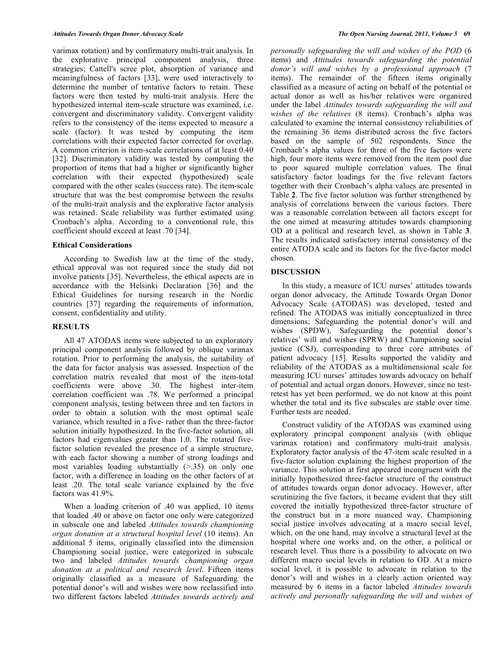varimax rotation) and by confirmatory multi-trait analysis. In the explorative principal component analysis, three strategies; Cattell's scree plot, absorption of variance and meaningfulness of factors [33], were used interactively to determine the number of tentative factors to retain. These factors were then tested by multi-trait analysis. Here the hypothesized internal item-scale structure was examined, i.e. convergent and discriminatory validity. Convergent validity refers to the consistency of the items expected to measure a scale (factor). It was tested by computing the item correlations with their expected factor corrected for overlap. A common criterion is item-scale correlations of at least 0.40 [32]. Discriminatory validity was tested by computing the proportion of items that had a higher or significantly higher correlation with their expected (hypothesized) scale compared with the other scales (success rate). The item-scale structure that was the best compromise between the results of the multi-trait analysis and the explorative factor analysis was retained. Scale reliability was further estimated using Cronbach's alpha. According to a conventional rule, this coefficient should exceed at least .70 [34].

#### **Ethical Considerations**

 According to Swedish law at the time of the study, ethical approval was not required since the study did not involve patients [35]. Nevertheless, the ethical aspects are in accordance with the Helsinki Declaration [36] and the Ethical Guidelines for nursing research in the Nordic countries [37] regarding the requirements of information, consent, confidentiality and utility.

#### **RESULTS**

 All 47 ATODAS items were subjected to an exploratory principal component analysis followed by oblique varimax rotation. Prior to performing the analysis, the suitability of the data for factor analysis was assessed. Inspection of the correlation matrix revealed that most of the item-total coefficients were above .30. The highest inter-item correlation coefficient was .78. We performed a principal component analysis, testing between three and ten factors in order to obtain a solution with the most optimal scale variance, which resulted in a five- rather than the three-factor solution initially hypothesized. In the five-factor solution, all factors had eigenvalues greater than 1.0. The rotated fivefactor solution revealed the presence of a simple structure, with each factor showing a number of strong loadings and most variables loading substantially  $(> 0.35)$  on only one factor, with a difference in loading on the other factors of at least .20. The total scale variance explained by the five factors was 41.9%.

 When a loading criterion of .40 was applied, 10 items that loaded .40 or above on factor one only were categorized in subscale one and labeled *Attitudes towards championing organ donation at a structural hospital level* (10 items). An additional 5 items, originally classified into the dimension Championing social justice, were categorized in subscale two and labeled *Attitudes towards championing organ donation at a political and research level*. Fifteen items originally classified as a measure of Safeguarding the potential donor's will and wishes were now reclassified into two different factors labeled *Attitudes towards actively and* 

*personally safeguarding the will and wishes of the POD* (6 items) and *Attitudes towards safeguarding the potential donor's will and wishes by a professional approach* (7 items). The remainder of the fifteen items originally classified as a measure of acting on behalf of the potential or actual donor as well as his/her relatives were organized under the label *Attitudes towards safeguarding the will and wishes of the relatives* (8 items). Cronbach's alpha was calculated to examine the internal consistency reliabilities of the remaining 36 items distributed across the five factors based on the sample of 502 respondents. Since the Cronbach's alpha values for three of the five factors were high, four more items were removed from the item pool due to poor squared multiple correlation values. The final satisfactory factor loadings for the five relevant factors together with their Cronbach's alpha values are presented in Table **2**. The five factor solution was further strengthened by analysis of correlations between the various factors. There was a reasonable correlation between all factors except for the one aimed at measuring attitudes towards championing OD at a political and research level, as shown in Table **3**. The results indicated satisfactory internal consistency of the entire ATODA scale and its factors for the five-factor model chosen.

#### **DISCUSSION**

 In this study, a measure of ICU nurses' attitudes towards organ donor advocacy, the Attitude Towards Organ Donor Advocacy Scale (ATODAS) was developed, tested and refined. The ATODAS was initially conceptualized in three dimensions; Safeguarding the potential donor's will and wishes (SPDW), Safeguarding the potential donor's relatives' will and wishes (SPRW) and Championing social justice (CSJ), corresponding to three core attributes of patient advocacy [15]. Results supported the validity and reliability of the ATODAS as a multidimensional scale for measuring ICU nurses' attitudes towards advocacy on behalf of potential and actual organ donors. However, since no testretest has yet been performed, we do not know at this point whether the total and its five subscales are stable over time. Further tests are needed.

 Construct validity of the ATODAS was examined using exploratory principal component analysis (with oblique varimax rotation) and confirmatory multi-trait analysis. Exploratory factor analysis of the 47-item scale resulted in a five-factor solution explaining the highest proportion of the variance. This solution at first appeared incongruent with the initially hypothesized three-factor structure of the construct of attitudes towards organ donor advocacy. However, after scrutinizing the five factors, it became evident that they still covered the initially hypothesized three-factor structure of the construct but in a more nuanced way. Championing social justice involves advocating at a macro social level, which, on the one hand, may involve a structural level at the hospital where one works and, on the other, a political or research level. Thus there is a possibility to advocate on two different macro social levels in relation to OD. At a micro social level, it is possible to advocate in relation to the donor's will and wishes in a clearly action oriented way measured by 6 items in a factor labeled *Attitudes towards actively and personally safeguarding the will and wishes of*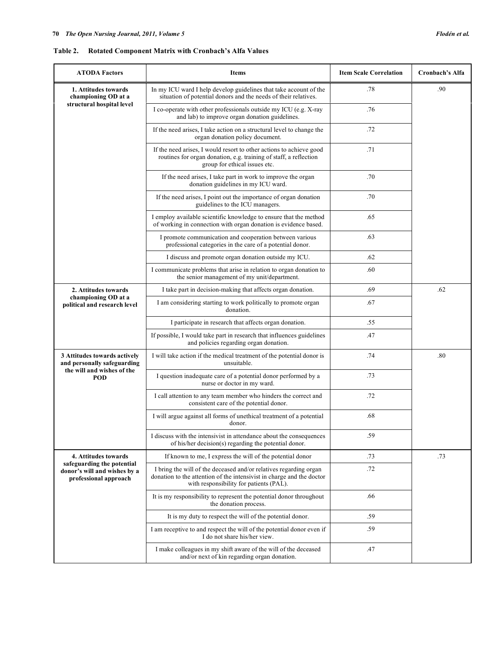## **Table 2. Rotated Component Matrix with Cronbach's Alfa Values**

| <b>ATODA Factors</b>                                                                             | <b>Items</b>                                                                                                                                                                          | <b>Item Scale Correlation</b> | Cronbach's Alfa |
|--------------------------------------------------------------------------------------------------|---------------------------------------------------------------------------------------------------------------------------------------------------------------------------------------|-------------------------------|-----------------|
| 1. Attitudes towards<br>championing OD at a                                                      | In my ICU ward I help develop guidelines that take account of the<br>situation of potential donors and the needs of their relatives.                                                  | .78                           | .90             |
| structural hospital level                                                                        | I co-operate with other professionals outside my ICU (e.g. X-ray<br>and lab) to improve organ donation guidelines.                                                                    | .76                           |                 |
|                                                                                                  | If the need arises, I take action on a structural level to change the<br>organ donation policy document.                                                                              | .72                           |                 |
|                                                                                                  | If the need arises, I would resort to other actions to achieve good<br>routines for organ donation, e.g. training of staff, a reflection<br>group for ethical issues etc.             | .71                           |                 |
|                                                                                                  | If the need arises, I take part in work to improve the organ<br>donation guidelines in my ICU ward.                                                                                   | .70                           |                 |
|                                                                                                  | If the need arises, I point out the importance of organ donation<br>guidelines to the ICU managers.                                                                                   | .70                           |                 |
|                                                                                                  | I employ available scientific knowledge to ensure that the method<br>of working in connection with organ donation is evidence based.                                                  | .65                           |                 |
|                                                                                                  | I promote communication and cooperation between various<br>professional categories in the care of a potential donor.                                                                  | .63                           |                 |
|                                                                                                  | I discuss and promote organ donation outside my ICU.                                                                                                                                  | .62                           |                 |
|                                                                                                  | I communicate problems that arise in relation to organ donation to<br>the senior management of my unit/department.                                                                    | .60                           |                 |
| 2. Attitudes towards<br>championing OD at a<br>political and research level                      | I take part in decision-making that affects organ donation.                                                                                                                           | .69                           | .62             |
|                                                                                                  | I am considering starting to work politically to promote organ<br>donation.                                                                                                           | .67                           |                 |
|                                                                                                  | I participate in research that affects organ donation.                                                                                                                                | .55                           |                 |
|                                                                                                  | If possible, I would take part in research that influences guidelines<br>and policies regarding organ donation.                                                                       | .47                           |                 |
| 3 Attitudes towards actively<br>and personally safeguarding<br>the will and wishes of the<br>POD | I will take action if the medical treatment of the potential donor is<br>unsuitable.                                                                                                  | .74                           | .80             |
|                                                                                                  | I question inadequate care of a potential donor performed by a<br>nurse or doctor in my ward.                                                                                         | .73                           |                 |
|                                                                                                  | I call attention to any team member who hinders the correct and<br>consistent care of the potential donor.                                                                            | .72                           |                 |
|                                                                                                  | I will argue against all forms of unethical treatment of a potential<br>donor.                                                                                                        | .68                           |                 |
|                                                                                                  | I discuss with the intensivist in attendance about the consequences<br>of his/her decision(s) regarding the potential donor.                                                          | .59                           |                 |
| 4. Attitudes towards                                                                             | If known to me, I express the will of the potential donor                                                                                                                             | .73                           | .73             |
| safeguarding the potential<br>donor's will and wishes by a<br>professional approach              | I bring the will of the deceased and/or relatives regarding organ<br>donation to the attention of the intensivist in charge and the doctor<br>with responsibility for patients (PAL). | .72                           |                 |
|                                                                                                  | It is my responsibility to represent the potential donor throughout<br>the donation process.                                                                                          | .66                           |                 |
|                                                                                                  | It is my duty to respect the will of the potential donor.                                                                                                                             | .59                           |                 |
|                                                                                                  | I am receptive to and respect the will of the potential donor even if<br>I do not share his/her view.                                                                                 | .59                           |                 |
|                                                                                                  | I make colleagues in my shift aware of the will of the deceased<br>and/or next of kin regarding organ donation.                                                                       | .47                           |                 |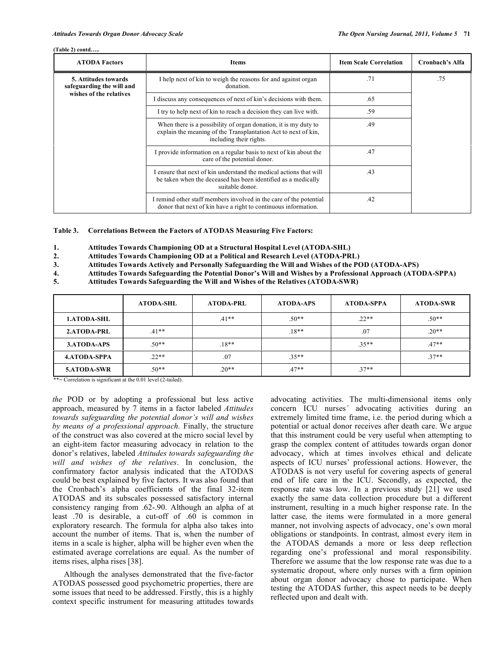#### **(Table 2) contd…..**

| <b>ATODA Factors</b>                              | <b>Items</b>                                                                                                                                                 | <b>Item Scale Correlation</b> | <b>Cronbach's Alfa</b> |
|---------------------------------------------------|--------------------------------------------------------------------------------------------------------------------------------------------------------------|-------------------------------|------------------------|
| 5. Attitudes towards<br>safeguarding the will and | I help next of kin to weigh the reasons for and against organ<br>donation.                                                                                   | .71                           | .75                    |
| wishes of the relatives                           | I discuss any consequences of next of kin's decisions with them.                                                                                             | .65                           |                        |
|                                                   | I try to help next of kin to reach a decision they can live with.                                                                                            | .59                           |                        |
|                                                   | When there is a possibility of organ donation, it is my duty to<br>explain the meaning of the Transplantation Act to next of kin,<br>including their rights. | .49                           |                        |
|                                                   | I provide information on a regular basis to next of kin about the<br>care of the potential donor.                                                            | .47                           |                        |
|                                                   | I ensure that next of kin understand the medical actions that will<br>be taken when the deceased has been identified as a medically<br>suitable donor.       | .43                           |                        |
|                                                   | I remind other staff members involved in the care of the potential<br>donor that next of kin have a right to continuous information.                         | .42                           |                        |

**Table 3. Correlations Between the Factors of ATODAS Measuring Five Factors:** 

**1. Attitudes Towards Championing OD at a Structural Hospital Level (ATODA-SHL)** 

**2. Attitudes Towards Championing OD at a Political and Research Level (ATODA-PRL)** 

**3. Attitudes Towards Actively and Personally Safeguarding the Will and Wishes of the POD (ATODA-APS)** 

**4. Attitudes Towards Safeguarding the Potential Donor's Will and Wishes by a Professional Approach (ATODA-SPPA)** 

**5. Attitudes Towards Safeguarding the Will and Wishes of the Relatives (ATODA-SWR)** 

|                    | <b>ATODA-SHL</b> | <b>ATODA-PRL</b> | <b>ATODA-APS</b> | <b>ATODA-SPPA</b> | <b>ATODA-SWR</b> |
|--------------------|------------------|------------------|------------------|-------------------|------------------|
| <b>1.ATODA-SHL</b> |                  | $.41**$          | $.50**$          | $.22**$           | $.50**$          |
| 2.ATODA-PRL        | $.41**$          |                  | $.18**$          | .07               | $20**$           |
| 3.ATODA-APS        | $.50**$          | $.18**$          |                  | $35**$            | $.47**$          |
| 4.ATODA-SPPA       | $.22**$          | .07              | $35**$           |                   | $.37**$          |
| 5.ATODA-SWR        | $.50**$          | $.20**$          | $.47**$          | $37**$            |                  |

\*\*= Correlation is significant at the 0.01 level (2-tailed).

*the* POD or by adopting a professional but less active approach, measured by 7 items in a factor labeled *Attitudes towards safeguarding the potential donor's will and wishes by means of a professional approach.* Finally, the structure of the construct was also covered at the micro social level by an eight-item factor measuring advocacy in relation to the donor's relatives, labeled *Attitudes towards safeguarding the will and wishes of the relatives*. In conclusion, the confirmatory factor analysis indicated that the ATODAS could be best explained by five factors. It was also found that the Cronbach's alpha coefficients of the final 32-item ATODAS and its subscales possessed satisfactory internal consistency ranging from .62-.90. Although an alpha of at least .70 is desirable, a cut-off of .60 is common in exploratory research. The formula for alpha also takes into account the number of items. That is, when the number of items in a scale is higher, alpha will be higher even when the estimated average correlations are equal. As the number of items rises, alpha rises [38].

 Although the analyses demonstrated that the five-factor ATODAS possessed good psychometric properties, there are some issues that need to be addressed. Firstly, this is a highly context specific instrument for measuring attitudes towards

advocating activities. The multi-dimensional items only concern ICU nurses*'* advocating activities during an extremely limited time frame, i.e. the period during which a potential or actual donor receives after death care. We argue that this instrument could be very useful when attempting to grasp the complex content of attitudes towards organ donor advocacy, which at times involves ethical and delicate aspects of ICU nurses' professional actions. However, the ATODAS is not very useful for covering aspects of general end of life care in the ICU. Secondly, as expected, the response rate was low. In a previous study [21] we used exactly the same data collection procedure but a different instrument, resulting in a much higher response rate. In the latter case*,* the items were formulated in a more general manner, not involving aspects of advocacy, one's own moral obligations or standpoints. In contrast, almost every item in the ATODAS demands a more or less deep reflection regarding one's professional and moral responsibility. Therefore we assume that the low response rate was due to a systematic dropout, where only nurses with a firm opinion about organ donor advocacy chose to participate. When testing the ATODAS further, this aspect needs to be deeply reflected upon and dealt with.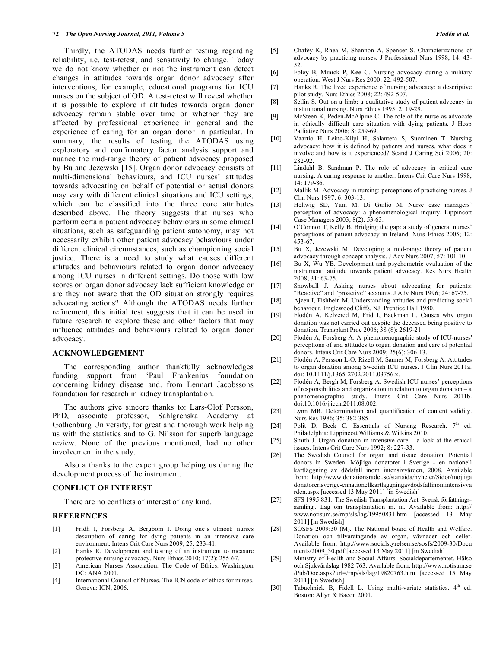#### **72** *The Open Nursing Journal, 2011, Volume 5 Flodén et al.*

 Thirdly, the ATODAS needs further testing regarding reliability, i.e. test-retest, and sensitivity to change. Today we do not know whether or not the instrument can detect changes in attitudes towards organ donor advocacy after interventions, for example, educational programs for ICU nurses on the subject of OD. A test-retest will reveal whether it is possible to explore if attitudes towards organ donor advocacy remain stable over time or whether they are affected by professional experience in general and the experience of caring for an organ donor in particular. In summary, the results of testing the ATODAS using exploratory and confirmatory factor analysis support and nuance the mid-range theory of patient advocacy proposed by Bu and Jezewski [15]. Organ donor advocacy consists of multi-dimensional behaviours, and ICU nurses' attitudes towards advocating on behalf of potential or actual donors may vary with different clinical situations and ICU settings, which can be classified into the three core attributes described above. The theory suggests that nurses who perform certain patient advocacy behaviours in some clinical situations, such as safeguarding patient autonomy, may not necessarily exhibit other patient advocacy behaviours under different clinical circumstances, such as championing social justice. There is a need to study what causes different attitudes and behaviours related to organ donor advocacy among ICU nurses in different settings. Do those with low scores on organ donor advocacy lack sufficient knowledge or are they not aware that the OD situation strongly requires advocating actions? Although the ATODAS needs further refinement, this initial test suggests that it can be used in future research to explore these and other factors that may influence attitudes and behaviours related to organ donor advocacy.

#### **ACKNOWLEDGEMENT**

 The corresponding author thankfully acknowledges funding support from 'Paul Frankenius foundation concerning kidney disease and. from Lennart Jacobssons foundation for research in kidney transplantation.

 The authors give sincere thanks to: Lars-Olof Persson, PhD, associate professor, Sahlgrenska Academy at Gothenburg University, for great and thorough work helping us with the statistics and to G. Nilsson for superb language review. None of the previous mentioned, had no other involvement in the study.

 Also a thanks to the expert group helping us during the development process of the instrument.

#### **CONFLICT OF INTEREST**

There are no conflicts of interest of any kind.

#### **REFERENCES**

- [1] Fridh I, Forsberg A, Bergbom I. Doing one's utmost: nurses description of caring for dying patients in an intensive care environment. Intens Crit Care Nurs 2009; 25: 233-41.
- [2] Hanks R. Development and testing of an instrument to measure protective nursing advocacy. Nurs Ethics 2010; 17(2): 255-67.
- [3] American Nurses Association. The Code of Ethics. Washington DC: ANA 2001.
- [4] International Council of Nurses. The ICN code of ethics for nurses. Geneva: ICN, 2006.
- [5] Chafey K, Rhea M, Shannon A, Spencer S. Characterizations of advocacy by practicing nurses. J Professional Nurs 1998; 14: 43- 52.
- [6] Foley B, Minick P, Kee C. Nursing advocacy during a military operation. West J Nurs Res 2000; 22: 492-507.
- [7] Hanks R. The lived experience of nursing advocacy: a descriptive pilot study. Nurs Ethics 2008; 22: 492-507.
- [8] Sellin S. Out on a limb: a qualitative study of patient advocacy in institutional nursing. Nurs Ethics 1995; 2: 19-29.
- [9] McSteen K, Peden-McAlpine C. The role of the nurse as advocate in ethically difficult care situation with dying patients. J Hosp Palliative Nurs 2006; 8: 259-69.
- [10] Vaartio H, Leino-Kilpi H, Salantera S, Suominen T. Nursing advocacy: how it is defined by patients and nurses, what does it involve and how is it experienced? Scand J Caring Sci 2006; 20: 282-92.
- [11] Lindahl B, Sandman P. The role of advocacy in critical care nursing: A caring response to another. Intens Crit Care Nurs 1998; 14: 179-86.
- [12] Mallik M. Advocacy in nursing: perceptions of practicing nurses. J Clin Nurs 1997; 6: 303-13.
- [13] Hellwig SD, Yam M, Di Guilio M. Nurse case managers' perception of advocacy: a phenomenological inquiry. Lippincott Case Managers 2003; 8(2): 53-63.
- [14] O'Connor T, Kelly B. Bridging the gap: a study of general nurses' perceptions of patient advocacy in Ireland. Nurs Ethics 2005; 12:  $453 - 67$ .
- [15] Bu X, Jezewski M. Developing a mid-range theory of patient advocacy through concept analysis. J Adv Nurs 2007; 57: 101-10.
- [16] Bu X, Wu YB. Development and psychometric evaluation of the instrument: attitude towards patient advocacy. Res Nurs Health 2008; 31: 63-75.
- [17] Snowball J. Asking nurses about advocating for patients: "Reactive" and "proactive" accounts. J Adv Nurs 1996; 24: 67-75.
- [18] Ajzen I, Fishbein M. Understanding attitudes and predicting social behaviour. Englewood Cliffs, NJ: Prentice Hall 1980.
- [19] Flodén A, Kelvered M, Frid I, Backman L. Causes why organ donation was not carried out despite the deceased being positive to donation. Transplant Proc 2006; 38 (8): 2619-21.
- [20] Flodén A, Forsberg A. A phenomenographic study of ICU-nurses' perceptions of and attitudes to organ donation and care of potential donors. Intens Crit Care Nurs 2009; 25(6): 306-13.
- [21] Flodén A, Persson L-O, Rizell M, Sanner M, Forsberg A. Attitudes to organ donation among Swedish ICU nurses. J Clin Nurs 2011a. doi: 10.1111/j.1365-2702.2011.03756.x.
- [22] Flodén A, Bergh M, Forsberg A. Swedish ICU nurses' perceptions of responsibilities and organization in relation to organ donation – a phenomenographic study. Intens Crit Care Nurs 2011b. doi:10.1016/j.iccn.2011.08.002.
- [23] Lynn MR. Determination and quantification of content validity. Nurs Res 1986; 35: 382-385.
- [24] Polit D, Beck C. Essentials of Nursing Research.  $7<sup>th</sup>$  ed. Philadelphia: Lippincott Williams & Wilkins 2010.
- [25] Smith J. Organ donation in intensive care a look at the ethical issues. Intens Crit Care Nurs 1992; 8: 227-33.
- [26] The Swedish Council for organ and tissue donation. Potential donors in Sweden**.** Möjliga donatorer i Sverige - en nationell kartläggning av dödsfall inom intensivvården, 2008. Available from: http://www.donationsradet.se/startsida/nyheter/Sidor/mojliga donatorerisverige-ennationellkartlaggningavdodsfallinomintensivva rden.aspx [accessed 13 May 2011] [in Swedish]
- [27] SFS 1995:831. The Swedish Transplantation Act. Svensk författningssamling.. Lag om transplantation m. m. Available from: http:// www.notisum.se/rnp/sls/lag/19950831.htm [accessed 13 May 2011] [in Swedish]
- [28] SOSFS 2009:30 (M). The National board of Health and Welfare. Donation och tillvaratagande av organ, vävnader och celler. Available from: http://www.socialstyrelsen.se/sosfs/2009-30/Docu ments/2009 30.pdf [accessed 13 May 2011] [in Swedish]
- [29] Ministry of Health and Social Affairs. Socialdepartementet. Hälso och Sjukvårdslag 1982:763. Available from: http://www.notisum.se /Pub/Doc.aspx?url=/rnp/sls/lag/19820763.htm [accessed 15 May 2011] [in Swedish]
- [30] Tabachnick B, Fidell L. Using multi-variate statistics.  $4<sup>th</sup>$  ed. Boston: Allyn & Bacon 2001.